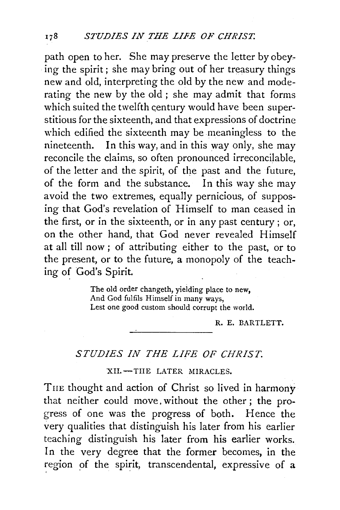path open to her. She may preserve the letter by obeying the spirit; she may bring out of her treasury things new and old, interpreting the old by the new and moderating the new by the old ; she may admit that forms which suited the twelfth century would have been superstitious for the sixteenth, and that expressions of doctrine which edified the sixteenth may be meaningless to the nineteenth. In this way, and in this way only, she may reconcile the claims, so often pronounced irreconcilable, of the letter and the spirit, of the past and the future, of the form and the substance. In this way she may avoid the two extremes, equally pernicious, of supposing that God's revelation of Himself to man ceased in the first, or in the sixteenth, or in any past century ; or, on the other hand, that God never revealed Himself at all till now ; of attributing either to the past, or to the present, or to the future, a monopoly of the teaching of God's Spirit.

> The old order changeth, yielding place to new, And God fulfils Himself in many ways, Lest one good custom should corrupt the world.

> > R. E. BARTLETT.

## *STUDIES IN THE LIFE OF CHRIST.*

## XII.-THE LATER MIRACLES.

THE thought and action of Christ so lived in harmony that neither could move. without the other ; the progress of one was the progress of both. Hence the very qualities that distinguish his later from his earlier teaching distinguish his later from his earlier works. In the very degree that the former becomes, in the region of the spirit, transcendental, expressive of a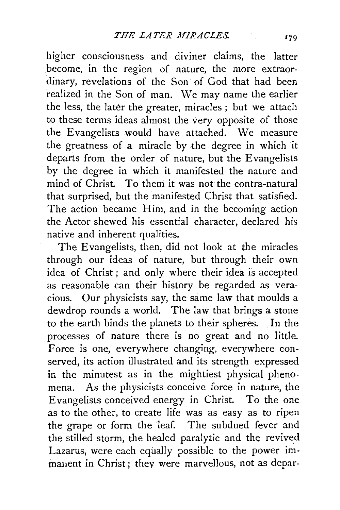higher consciousness and diviner claims, the latter become, in the region of nature, the more extraordinary, revelations of the Son of God that had been realized in the Son of man. We may name the earlier the less, the later the greater, miracles ; but we attach to these terms ideas almost the very opposite of those the Evangelists would have attached. We measure the greatness of a miracle by the degree in which it departs from the order of nature, but the Evangelists by the degree in which it manifested the nature and mind of Christ. To theni it was not the contra-natural that surprised, but the manifested Christ that satisfied. The action became Him, and in the becoming action the Actor shewed his essential character, declared his native and inherent qualities.

The Evangelists, then, did not look at the miracles through our ideas of nature, but through their own idea of Christ ; and only where their idea is accepted as reasonable can their history be regarded as veracious. Our physicists say, the same law that moulds a dewdrop rounds a world. The law that brings a stone to the earth binds the planets to their spheres. In the processes of nature there is no great and no little. Force is one, everywhere changing, everywhere conserved, its action illustrated and its strength expressed in the minutest as in the mightiest physical phenomena. As the physicists conceive force in nature, the Evangelists conceived energy in Christ. To the one as to the other, to create life was as easy as to ripen the grape or form the leaf. The subdued fever and the stilled storm, the healed paralytic and the revived Lazarus, were each equally possible to the power immanent in Christ; they were marvellous, not as depar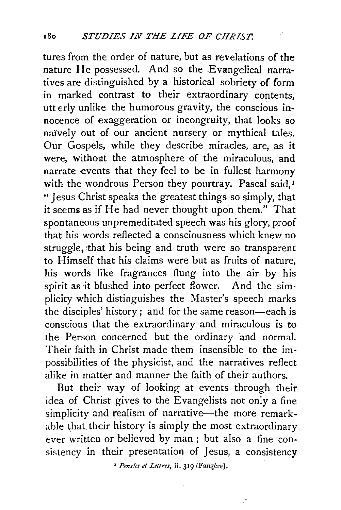tures from the order of nature, but as revelations of the nature He possessed. And so the Evangelical narratives are distinguished by a historical sobriety of form in marked contrast to their extraordinary contents, utterly unlike the humorous gravity, the conscious innocence of exaggeration or incongruity, that looks so naively out of our ancient nursery or mythical tales. Our Gospels, while they describe miracles, are, as it were, without the atmosphere of the miraculous, and narrate .events that they feel to be in fullest harmony with the wondrous Person they pourtray. Pascal said,<sup>1</sup> "Jesus Christ speaks the greatest things so simply, that it seems as if He had never thought upon them." That spontaneous unpremeditated speech was his glory, proof that his words reflected a consciousness which knew no struggle, that his being and truth were so transparent to Himself that his claims were but as fruits of nature, his words like fragrances flung into the air by his spirit as it blushed into perfect flower. And the simplicity which distinguishes the Master's speech marks the disciples' history; and for the same reason-each is conscious that the extraordinary and miraculous is to the Person concerned but the ordinary and normal. Their faith in Christ made them insensible to the impossibilities of the physicist, and the narratives reflect alike in matter and manner the faith of their authors.

But their way of looking at events through their idea of Christ gives to the Evangelists not only a fine simplicity and realism of narrative-the more remarkable that their history is simply the most extraordinary ever written or believed by man ; but also a fine consistency in their presentation of Jesus, a consistency

<sup>&</sup>lt;sup>1</sup> Pensies et Lettres, ii. 319 (Faugère).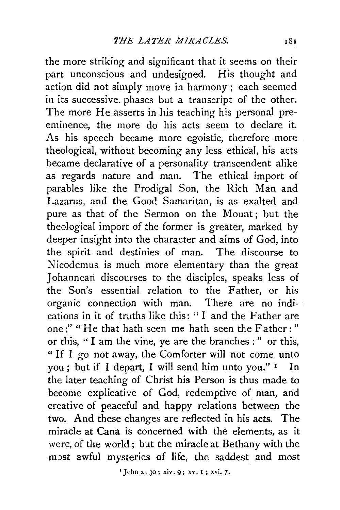the more striking and significant that it seems on their part unconscious and undesigned. His thought and action did not simply move in harmony; each seemed in its successive. phases but a transcript of the other. The more He asserts in his teaching his personal preeminence, the more do his acts seem to declare it. As his speech became more egoistic, therefore more theological, without becoming any less ethical, his acts became declarative of a personality transcendent alike as regards nature and man. The ethical import of parables like the Prodigal Son, the Rich Man and Lazarus, and the Good Samaritan, is as exalted and pure as that of the Sermon on the Mount; but the theological import of the former is greater, marked by deeper insight into the character and aims of God, into the spirit and destinies of man. The discourse to Nicodemus is much more elementary than the great Johannean discourses to the disciples, speaks less of the Son's essential relation to the Father, or his organic connection with man. There are no indications in it of truths like this: "I and the Father are one;" " He that hath seen me hath seen the Father: " or this, " I am the vine, ye are the branches : " or this, " If I go not away, the Comforter will not come unto you; but if I depart, I will send him unto you." I In the later teaching of Christ his Person is thus made to become explicative of God, redemptive of man, and creative of peaceful and happy relations between the two. And these changes are reflected in his acts. The miracle at Cana is concerned with the elements, as it were, of the world; but the miracle at Bethany with the most awful mysteries of life, the saddest and most

'John x. 30 ; xiv. 9; xv. I ; xvi. *7.*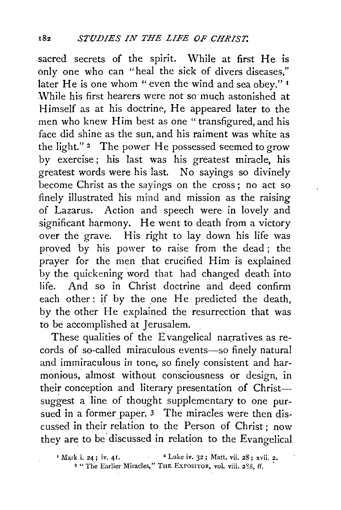sacred secrets of the spirit. While at first He is only one who can "heal the sick of divers diseases," later He is one whom "even the wind and sea obey."  $I$ While his first hearers were not so much astonished at Himself as at his doctrine, He appeared later to the men who knew Him best as one "transfigured, and his face did shine as the sun, and his raiment was white as the light."<sup>2</sup> The power He possessed seemed to grow by exercise ; his last was his greatest miracle, his greatest words were his last. No sayings so divinely become Christ as the sayings on the cross ; no act so finely illustrated his mind and mission as the raising of Lazarus. Action and speech were in lovely and significant harmony. He went to death from a victory over the grave. His right to lay down his life was proved by his power to raise from the dead ; the prayer for the men that crucified Him is explained by the quickening word that had changed death into life. And so in Christ doctrine and deed confirm each other : if by the one He predicted the death, by the other He explained the resurrection that was to be accomplished at Jerusalem.

These qualities of the Evangelical narratives as records of so-called miraculous events-so finely natural and immiraculous in tone, so finely consistent and harmonious, almost without consciousness or design, in their conception and literary presentation of Christsuggest a line of thought supplementary to one pursued in a former paper. 3 The miracles were then discussed in their relation to the Person of Christ ; now they are to be discussed in relation to the Evangelical

<sup>&#</sup>x27; Mark i. 24; iv. 41.  $2^2$  Luke iv. 32; Matt. vii. 28; xvii. 2. <sup>3</sup> "The Earlier Miracles," THE EXPOSITOR, vol. viii. 238, ff.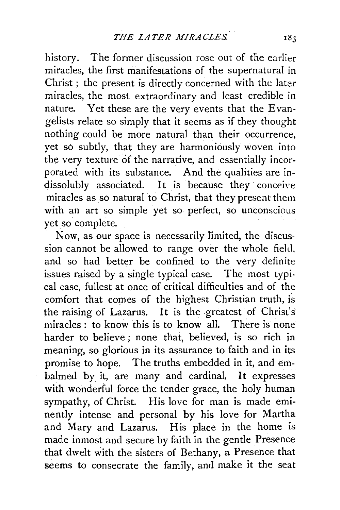history. The former discussion rose out of the earlier miracles, the first manifestations of the supernatural in Christ ; the present is directly concerned with the later miracles, the most extraordinary and least credible in nature. Yet these are the very events that the Evangelists relate so simply that it seems as if they thought nothing could be more natural than their occurrence, yet so subtly, that they are harmoniously woven into the very texture of the narrative, and essentially incorporated with its substance. And the qualities are indissolubly associated. It is because they conceive miracles as so natural to Christ, that they present them with an art so simple yet so perfect, so unconscious yet so complete.

Now, as our space is necessarily limited, the discussion cannot be allowed to range over the whole field, and so had better be confined to the very definite issues raised by a single typical case. The most typical case, fullest at once of critical difficulties and of the comfort that comes of the highest Christian truth, is the raising of Lazarus. It is the greatest of Christ's miracles : to know this is to know all. There is none harder to believe ; none that, believed, is so rich in meaning, so glorious in its assurance to faith and in its promise to hope. The truths embedded in it, and embalmed by it, are many and cardinal. It expresses with wonderful force the tender grace, the holy human sympathy, of Christ. His love for man is made eminently intense and personal by his love for Martha and Mary and Lazarus. His place in the home is made inmost and secure by faith in the gentle Presence that dwelt with the sisters of Bethany, a Presence that seems to consecrate the family, and make it the seat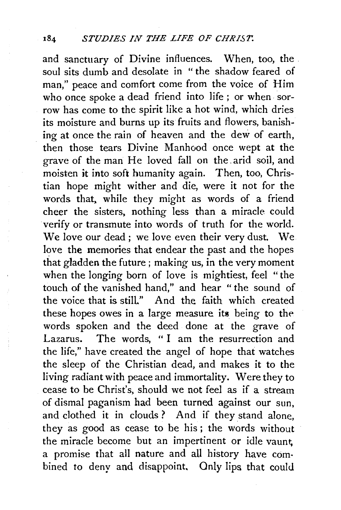and sanctuary of Divine influences. When, too, the soul sits dumb and desolate in " the shadow feared of man," peace and comfort come from the voice of Him who once spoke a dead friend into life ; or when sorrow has come to the spirit like a hot wind, which dries its moisture and burns up its fruits and flowers, banishing at once the rain of heaven and the dew of earth, then those tears Divine Manhood once wept at the grave of the man He loved fall on the. arid soil, and moisten it into soft humanity again. Then, too, Christian hope might wither and die, were it not for the words that, while they might as words of a friend cheer the sisters, nothing less than a miracle could verify or transmute into words of truth for the world. We love our dead; we love even their very dust. We love the memories that endear the past and the hopes that gladden the future ; making us, in the very moment when the longing born of love is mightiest, feel "the touch of the vanished hand," and hear " the sound of the voice that is still." And the faith which created these hopes owes in a large measure its being to the words spoken and the deed done at the grave of Lazarus. The words, " I am the resurrection and the life," have created the angel of hope that watches the sleep of the Christian dead, and makes it to the living radiant with peace and immortality. Were they to cease to be Christ's, should we not feel as if a stream of dismal paganism had been turned against our sun, and clothed it in clouds ? And if they stand alone, they as good as cease to be his ; the words without the miracle become but an impertinent or idle vaunt, a promise that all nature and all history have combined to deny and disappoint. Only lips that could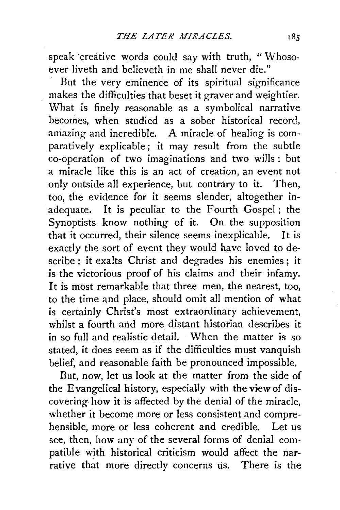speak creative words could say with truth, "Whosoever liveth and believeth in me shall never die."

But the very eminence of its spiritual significance makes the difficulties that beset it graver and weightier. What is finely reasonable as a symbolical narrative becomes, when studied as a sober historical record, amazing and incredible. A miracle of healing is comparatively explicable; it may result from the subtle co-operation of two imaginations and two wills: but a miracle like this is an act of creation, an event not only outside all experience, but contrary to it. Then, too, the evidence for it seems slender, altogether inadequate. It is peculiar to the Fourth Gospel; the Synoptists know nothing of it. On the supposition that it occurred, their silence seems inexplicable. It is exactly the sort of event they would have loved to describe : it exalts Christ and degrades his enemies ; it is the victorious proof of his claims and their infamy. It is most remarkable that three men, the nearest, too, to the time and place, should omit all mention of what is certainly Christ's most extraordinary achievement, whilst a fourth and more distant historian describes it in so full and realistic detail. When the matter is so stated, it does seem as if the difficulties must vanquish belief, and reasonable faith be pronounced impossible.

But, now, let us look at the matter from the side of the Evangelical history, especially with the view of discovering how it is affected by the denial of the miracle, whether it become more or less consistent and comprehensible, more or less coherent and credible. Let us see, then, how any of the several forms of denial compatible with historical criticism would affect the narrative that more directly concerns us. There is the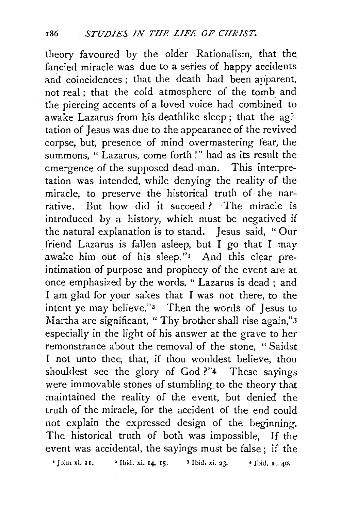theory favoured by the older Rationalism, that the\_ fancied miracle was due to a series of happy accidents and coincidences ; that the death had been apparent, not real ; that the cold atmosphere of the tomb and the piercing accents of a loved voice had combined to awake Lazarus from his deathlike sleep; that the agitation of Jesus was due to the appearance of the revived corpse, but, presence of mind overmastering fear, the summons, " Lazarus, come forth !" had as its result the emergence of the supposed dead man. This interpretation was intended, while denying the reality of the miracle, to preserve the historical truth of the narrative. But how did it succeed? The miracle is introduced by a history, which must be negatived if the natural explanation is to stand. Jesus said, " Our friend Lazarus is fallen asleep, but I go that I may awake him out of his sleep." $I$  And this clear preintimation of purpose and prophecy of the event are at once emphasized by the words, " Lazarus is dead ; and I am glad for your sakes that I was not there, to the intent ye may believe."<sup>2</sup> Then the words of Jesus to Martha are significant, "Thy brother shall rise again,"3 especially in the light of his answer at the grave to her remonstrance about the removal of the stone, " Saidst I not unto thee, that, if thou wouldest believe, thou shouldest see the glory of God ?"4 These sayings were immovable stones of stumbling to the theory that maintained the reality of the event, but denied the truth of the miracle, for the accident of the end could not explain the expressed design of the beginning. The historical truth of both was impossible, If the event was accidental, the sayings must be false; if the

 $\bullet$  John xi. 11.  $\bullet$  Ibid. xi. 14, 15.  $\bullet$  3 Ibid. xi. 23.  $\bullet$  Ibid. xi. 40.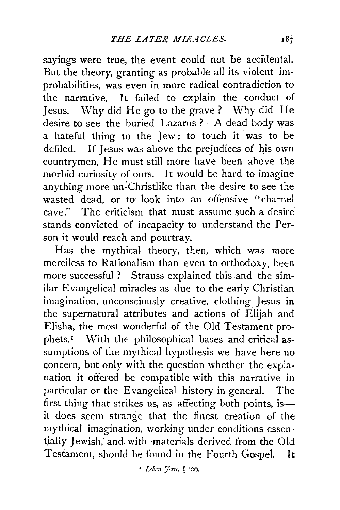sayings were true, the event could not be accidental. But the theory, granting as probable all its violent improbabilities, was even in more radical contradiction to the narrative. It failed to explain the conduct of Jesus. Why did He go to the grave? Why did He desire to see the buried Lazarus ? A dead body was a hateful thing to the Jew ; to touch it was to be defiled. If Jesus was above the prejudices of his own countrymen, He must still more have been above the morbid curiosity of ours. It would be hard to imagine anything more un-Christlike than the desire to see the wasted dead, or to look into an offensive "charnel cave." The criticism that must assume such a desire stands convicted of incapacity to understand the Person it would reach and pourtray.

Has the mythical theory, then, which was more merciless to Rationalism than even to orthodoxy, been more successful ? Strauss explained this and the similar Evangelical miracles as due to the early Christian imagination, unconsciously creative, clothing Jesus in the supernatural attributes and actions of Elijah and Elisha, the most wonderful of the Old Testament prophets.1 With the philosophical bases and critical assumptions of the mythical hypothesis we have here no concern, but only with the question whether the explanation it offered be compatible with this narrative in particular or the Evangelical history in general. The first thing that strikes us, as affecting both points, isit does seem strange that the finest creation of the mythical imagination, working under conditions essentjally Jewish, and with materials derived from the Old Testament, should be found in the Fourth Gospel. It

<sup>1</sup> *Leben 'fesu*, § 100.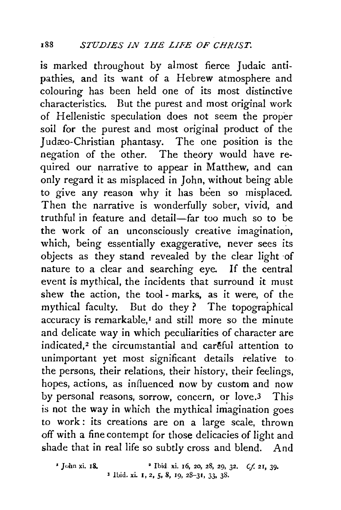is marked throughout by almost fierce Judaic antipathies, and its want of a Hebrew atmosphere and colouring has been held one of its most distinctive characteristics. But the purest and most original work of Hellenistic speculation does not seem the proper soil for the purest and most original product of the Judæo-Christian phantasy. The one position is the negation of the other. The theory would have required our narrative to appear in Matthew, and can only regard it as misplaced in John, without being able to give any reason why it has been so misplaced. Then the narrative is wonderfully sober, vivid, and truthful in feature and detail-far too much so to be the work of an unconsciously creative imagination, which, being essentially exaggerative, never sees its objects as they stand revealed by the clear light ·of nature to a clear and searching eye. If the central event is mythical, the incidents that surround it must shew the action, the tool - marks, as it were, of the mythical faculty. But do they ? The topographical accuracy is remarkable,<sup>1</sup> and still more so the minute and delicate way in which peculiarities of character are indicated,<sup>2</sup> the circumstantial and careful attention to unimportant yet most significant details relative to the persons, their relations, their history, their feelings, hopes, actions, as influenced now by custom and now by personal reasons, sorrow, concern, or love.3 This is not the way in which the mythical imagination goes to work : its creations are on a large scale, thrown off with a fine contempt for those delicacies of light and shade that in real life so subtly cross and blend. And

' John xi. 18. • Ibid. xi. 16, 20, 28, 29, 32. *Cf.* 21, 39· 3 !hid. xi. I, 2, *5,* 8, 19, 28-31, 33, 38.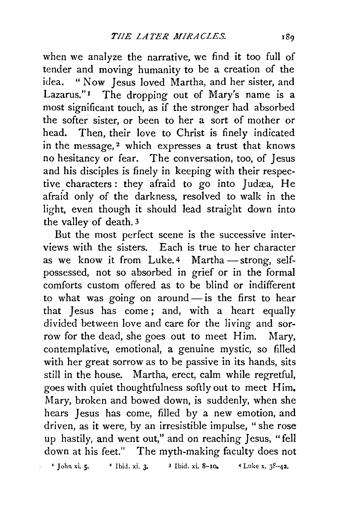when we analyze the narrative, we find it too full of tender and moving humanity to be a creation of the idea. "Now Jesus loved Martha, and her sister, and Lazarus."<sup>1</sup> The dropping out of Mary's name is a most significant touch, as if the stronger had absorbed the softer sister, or been to her a sort of mother or head. Then, their love to Christ is finely indicated in the message,<sup>2</sup> which expresses a trust that knows no hesitancy or fear. The conversation, too, of Jesus and his disciples is finely in keeping with their respective characters: they afraid to go into Judæa, He afraid only of the darkness, resolved to walk in the light, even though it should lead straight down into the valley of death. 3

But the most perfect scene is the successive interviews with the sisters. Each is true to her character as we know it from Luke.<sup>4</sup> Martha -strong, selfpossessed, not so absorbed in grief or in the formal comforts custom offered as to be blind or indifferent to what was going on around- is the first to hear that Jesus has come ; and, with a heart equally divided between love and care for the living and sorrow for the dead, she goes out to meet Him. Mary, contemplative, emotional, a genuine mystic, so filled with her great sorrow as to be passive in its hands, sits still in the house. Martha, erect, calm while regretful, goes with quiet thoughtfulness softly out to meet Him. Mary, broken and bowed down, is suddenly, when she hears Jesus has come, filled by a new emotion, and driven, as it were, by an irresistible impulse, "she rose up hastily, and went out," and on reaching Jesus, "fell down at his feet." The myth-making faculty does not

' John xi. S· • Ibid. xi. 3· *3* Ibid. xi. 8-10. *4* Luke x. 38·-42.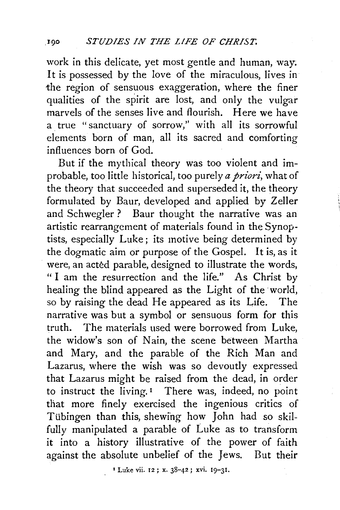work in this delicate, yet most gentle and human, way. It is possessed by the love of the miraculous, lives in the region of sensuous exaggeration, where the finer qualities of the spirit are lost, and only the vulgar marvels of the senses live and flourish. Here we have a true "sanctuary of sorrow," with all its sorrowful elements born of man, all its sacred and comforting influences born of God.

But if the mythical theory was too violent and improbable, too little historical, too purely *a priori*, what of the theory that succeeded and superseded it, the theory formulated by Baur, developed and applied by Zeller and Schwegler ? Baur thought the narrative was an artistic rearrangement of materials found in the Synoptists, especially Luke; its motive being determined by the dogmatic aim or purpose of the Gospel. It is, as it were, an acted parable, designed to illustrate the words, " I am the resurrection and the life." As Christ by healing the blind appeared as the Light of the world, so by raising the dead He appeared as its Life. The narrative was but a symbol or sensuous form for this truth. The materials used were borrowed from Luke, the widow's son of Nain, the scene between Martha and Mary, and the parable of the Rich Man and Lazarus, where the wish was so devoutly expressed that Lazarus might be raised from the dead, in order to instruct the living.<sup>1</sup> There was, indeed, no point that more finely exercised the ingenious critics of Tübingen than this, shewing how John had so skilfully manipulated a parable of Luke as to transform it into a history illustrative of the power of faith against the absolute unbelief of the Jews. But their

1 Luke vii. 12; x. 38-42; xvi. 19-31.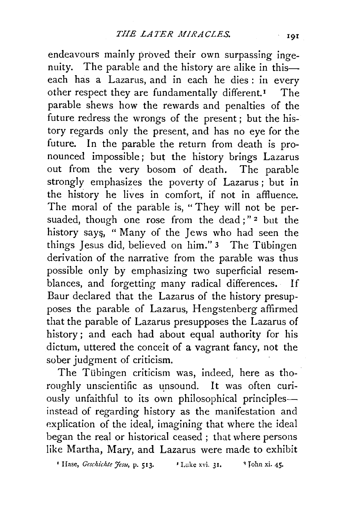endeavours mainly proved their own surpassing ingenuity. The parable and the history are alike in thiseach has a Lazarus, and in each he dies : in every other respect they are fundamentally different.<sup>1</sup> The parable shews how the rewards and penalties of the future redress the wrongs of the present ; but the history regards only the present, and has no eye for the future. In the parable the return from death is pronounced impossible; but the history brings Lazarus out from the very bosom of death. The parable strongly emphasizes the poverty of Lazarus ; but in the history he lives in comfort, if not in affluence. The moral of the parable is, "They will not be persuaded, though one rose from the dead;"<sup>2</sup> but the history says, " Many of the Jews who had seen the things Jesus did, believed on him." 3 The Tübingen derivation of the narrative from the parable was thus possible only by emphasizing two superficial resemblances, and forgetting many radical differences. If Baur declared that the Lazarus of the history presupposes the parable of Lazarus, Hengstenberg affirmed that the parable of Lazarus presupposes the Lazarus of history; and each had about equal authority for his dictum, uttered the conceit of a vagrant fancy, not the sober judgment of criticism.

The Tübingen criticism was, indeed, here as thoroughly unscientific as unsound. It was often curiously unfaithful to its own philosophical principlesinstead of regarding history as the manifestation and explication of the ideal, imagining that where the ideal began the real or historical ceased ; that where persons like Martha, Mary, and Lazarus were made to exhibit

<sup>*•*</sup> Hase, *Geschichte Jesu*, p. 513. *• Luke xvi.* 31. <sup>•</sup> John xi. 45.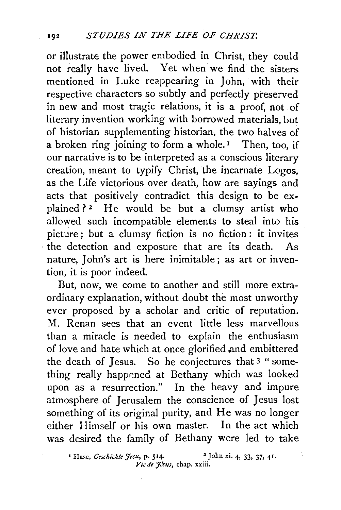or illustrate the power embodied in Christ, they could not really have lived. Yet when we find- the sisters mentioned in Luke reappearing in John, with their respective characters so subtly and perfectly preserved in new and most tragic relations, it is a proof, not of literary invention working with borrowed materials, but of historian supplementing historian, the two halves of a broken ring joining to form a whole.<sup> $I$ </sup> Then, too, if our narrative is to be interpreted as a conscious literary creation, meant to typify Christ, the incarnate Logos, as the Life victorious over death, how are sayings and acts that positively contradict this design to be explained? 2 He would be but a clumsy artist who allowed such incompatible elements to steal into his picture ; but a clumsy fiction is no fiction : it invites · the detection and exposure that are its death. As nature, John's art is here inimitable ; as art or invention, it is poor indeed.

But, now, we come to another and still more extraordinary explanation, without doubt the most unworthy ever proposed by a scholar and critic of reputation. M. Renan sees that an event little less marvellous than a miracle is needed to explain the enthusiasm of love and hate which at once glorified and embittered the death of Jesus. So he conjectures that 3 "something really happened at Bethany which was looked upon as a resurrection." In the heavy and impure atmosphere of Jerusalem the conscience of Jesus lost something of its original purity, and He was no longer either Himself or his own master. In the act which was desired the family of Bethany were led to take

<sup>&</sup>lt;sup>1</sup> Hase, *Geschichte Jesu*, p. 514. <sup>2</sup> John xi. 4, 33, 37, 41. *Vie de 7/stts,* chap. xxiii.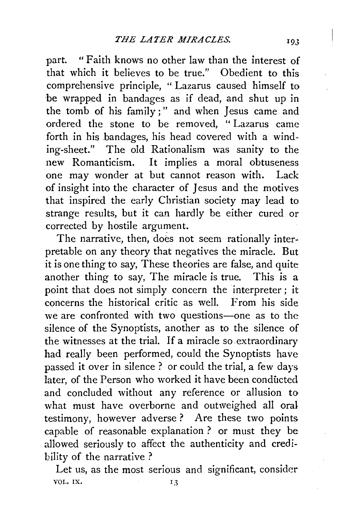part. "Faith knows no other law than the interest of that which it believes to be true." Obedient to this comprehensive principle, "Lazarus caused himself to be wrapped in bandages as if dead, and shut up in the tomb of his family;" and when Jesus came and ordered the stone to be removed, " Lazarus came forth in his bandages, his head covered with a winding-sheet." The old Rationalism was sanity to the new Romanticism. It implies a moral obtuseness one may wonder at but cannot reason with. Lack of insight into the character of Jesus and the motives that inspired the early Christian society may lead to strange results, but it can hardly be either cured or corrected by hostile argument.

The narrative, then, does not seem rationally interpretable on any theory that negatives the miracle. But it is one thing to say, These theories are false, and quite another thing to say, The miracle is true. This is a point that does not simply concern the interpreter; it concerns the historical critic as well. From his side we are confronted with two questions-one as to the silence of the Synoptists, another as to the silence of the witnesses at the trial. If a miracle so extraordinary had really been performed, could the Synoptists have passed it over in silence ? or could the trial, a few days later, of the Person who worked it have been conducted and concluded without any reference or allusion to what must have overborne and outweighed all oral testimony, however adverse? Are these two points capable of reasonable explanation ? or must they be allowed seriously to affect the authenticity and credibility of the narrative ?

Let us, as the most serious and significant, consider VOL. IX.  $I<sub>3</sub>$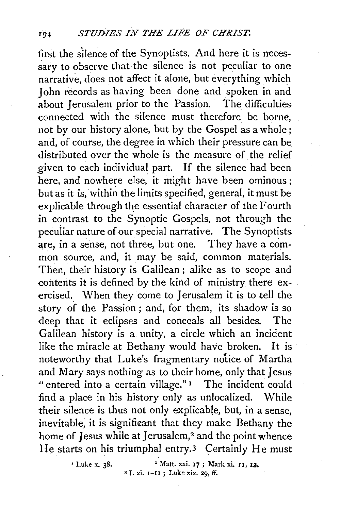first the silence of the Synoptists. And here it is necessary to observe that the silence is not peculiar to one narrative, does not affect it alone, but everything which John records as having been done and spoken in and about Jerusalem prior to the Passion. The difficulties connected with the silence must therefore be borne, not by our history alone, but by the Gospel as a whole; and, of course, the degree in which their pressure can be distributed over the whole is the measure of the relief given to each individual part. If the silence had been here, and nowhere else, it might have been ominous; but as it is, within the limits specified, general, it must be explicable through the essential character of the Fourth in contrast to the Synoptic Gospels, not through the pecuiiar nature of our special narrative. The Synoptists are, in a sense, not three, but one. They have a common source, and, it may be said, common materials. Then, their history is Galilean ; alike as to scope and contents it is defined by the kind of ministry there exercised. When they come to Jerusalem it is to tell the story of the Passion ; and, for them, its shadow is so deep that it eclipses and conceals all besides. The Galilean history is a unity, a circle which an incident like the miracle at Bethany would have broken. It is noteworthy that Luke's fragmentary notice of Martha and Mary says nothing as to their home, only that Jesus "entered into a certain village."<sup>1</sup> The incident could find a place in his history only as unlocalized. While their silence is thus not only explicable, but, in a sense, inevitable, it is significant that they make Bethany the home of Jesus while at Jerusalem,<sup>2</sup> and the point whence He starts on his triumphal entry.3 Certainly He must

> $'$  Luke x. 38.  $'$  Matt. xxi. 17; Mark xi. 11, 12.  $3$  I. xi.  $I-II$ ; Luke xix. 29, ff.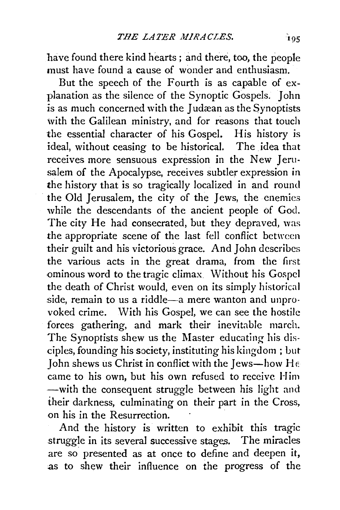have found there kind hearts; and there, *too,* the people must have found a cause of wonder and enthusiasm.

But the speech of the Fourth is as capable of explanation as the silence of the Synoptic Gospels. John is as much concerned with the Judæan as the Synoptists with the Galilean ministry, and for reasons that touch the essential character of his Gospel. His history is ideal, without ceasing to be historical. The idea that receives more sensuous expression in the New Jerusalem of the Apocalypse, receives subtler expression in the history that is so tragically localized in and round the Old Jerusalem, the city of the Jews, the enemies while the descendants of the ancient people of God. The city He had consecrated, but they depraved, was the appropriate scene of the last fell conflict between their guilt and his victorious grace. And John describes the various acts in the great drama, from the first ominous word to the tragic climax Without his Gospel the death of Christ would, even on its simply historical side, remain to us a riddle-a mere wanton and unprovoked crime. With his Gospel, we can see the hostile forces gathering, and mark their inevitable march. The Synoptists shew us the Master educating his disciples, founding his society, instituting his kingdom ; but John shews us Christ in conflict with the Jews-how He came to his own, but his own refused to receive Him -with the consequent struggle between his light and their darkness, culminating on their part in the Cross, on his in the Resurrection.

And the history is written to exhibit this tragic struggle in its several successive stages. The miracles are so presented as at once to define and deepen it, as to shew their influence on the progress of the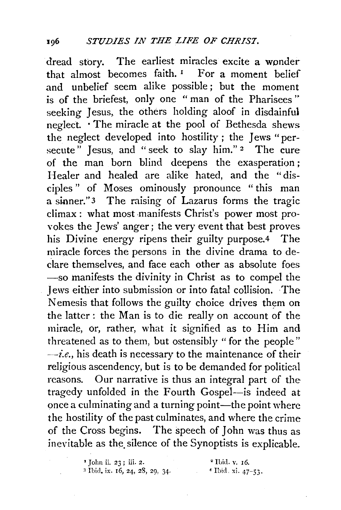dread story. The earliest miracles excite a wonder that almost becomes faith.<sup>1</sup> For a moment belief and unbelief seem alike possible ; but the moment is of the briefest, only one " man of the Pharisees " seeking Jesus, the others holding aloof in disdainful neglect. · The miracle at the pool of Bethesda shews the neglect developed into hostility ; the Jews "persecute" Jesus, and "seek to slay him."<sup>2</sup> The cure of the man born blind deepens the exasperation ; Healer and healed are alike hated, and the "disciples " of Moses ominously pronounce " this man a sinner." 3 The raising of Lazarus forms the tragic climax: what most manifests Christ's power most provokes the Jews' anger ; the very event that best proves his Divine energy ripens their guilty purpose.4 The miracle forces the persons in the divine drama to declare themselves, and face each other as absolute foes -so manifests the divinity in Christ as to compel the Jews either into submission or into fatal collision. The Nemesis that follows the guilty choice drives them on the latter: the Man is to die really on account of the miracle, or, rather, what it signified as to Him and threatened as to them, but ostensibly "for the people"  $\rightarrow$ *i.e.*, his death is necessary to the maintenance of their religious ascendency, but is to be demanded for political reasons. Our narrative is thus an integral part of the tragedy unfolded in the Fourth Gospel-is indeed at once a culminating and a turning point-the point where the hostility of the past culminates, and where the crime of the Cross begins. The speech of John was thus as inevitable as the silence of the Synoptists is explicable.

> <sup>2</sup> John ii. 23; iii. 2. <sup>2</sup> Ibid. v. 16.<br><sup>3</sup> Ibid. ix. 16, 24, 28, 29, 34. <sup>2</sup> Ibid. xi. 47-53.  $3$  Ibid. ix. 16, 24, 28, 29, 34.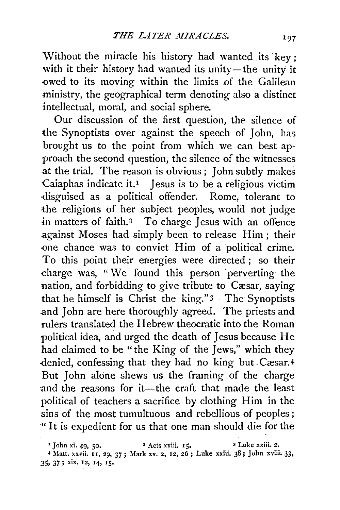Without the miracle his history had wanted its key; with it their history had wanted its unity-the unity it owed to its moving within the limits of the Galilean ministry, the geographical term denoting also a distinct intellectual, moral, and social sphere.

Our discussion of the first question, the silence of the Synoptists over against the speech of John, has brought us to the point from which we can best approach the second question, the silence of the witnesses at the trial. The reason is obvious ; John subtly makes Caiaphas indicate it.<sup> $1$ </sup> Jesus is to be a religious victim ·disguised as a political offender. Rome, tolerant to the religions of her subject peoples, would not judge in matters of faith.<sup>2</sup> To charge Jesus with an offence .against Moses had simply been to release Him; their -one chance was to convict Him of a political crime. To this point their energies were directed ; so their charge was, "We found this person perverting the nation, and forbidding to give tribute to Cæsar, saying that he himself is Christ the king." 3 The Synoptists and John are here thoroughly agreed. The priests and rulers translated the Hebrew theocratic into the Roman political idea, and urged the death of Jesus because He had claimed to be "the King of the Jews," which they denied, confessing that they had no king but Cæsar.4 But John alone shews us the framing of the charge and the reasons for it-the craft that made the least political of teachers a sacrifice by clothing Him in the sins of the most tumultuous and rebellious of peoples ; ·"It is expedient for us thatone man should die for the

 $\frac{1}{2}$  John xi. 49, 50.  $\frac{2}{5}$  Acts xviii. 15.  $\frac{3}{5}$  Luke xxiii. 2. 4 Matt. xx¥ii. II, 29, 37; Mark xv. 2, 12, 26; Luke xxiii. 38; John xviii. 33, .35, 37; xix. 12, 14, IS•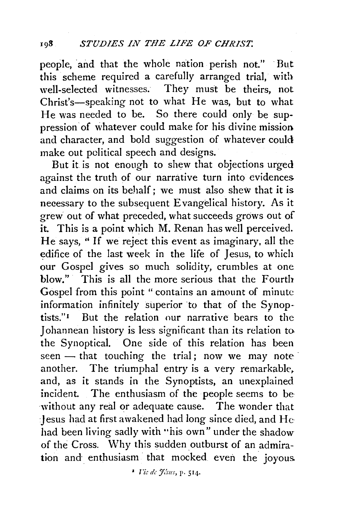people, and that the whole nation perish not." But this scheme required a carefully arranged trial, with<br>well-selected witnesses. They must be theirs, not They must be theirs, not Christ's-speaking not to what He was, but to what He was needed to be. So there could only be suppression of whatever could make for his divine mission and character, and bold suggestion of whatever could make out political speech and designs.

But it is not enough to shew that objections urged against the truth of our narrative turn into evidences and claims on its behalf; we must also shew that it is necessary to the subsequent Evangelical history. As it grew out of what preceded, what succeeds grows out of it. This is a point which M. Renan has well perceived. He says, " If we reject this event as imaginary, all the edifice of the last week in the life of Jesus, to which our Gospel gives so much solidity, crumbles at one blow." This is all the more serious that the Fourth Gospel from this point "contains an amount of minute information infinitely superior to that of the Synoptists."1 But the relation our narrative bears to the Johannean history is less significant than its relation to the Synoptical. One side of this relation has been seen  $-$  that touching the trial; now we may note another. The triumphal entry is a very remarkable. and, as it stands in the Synoptists, an unexplained incident. The enthusiasm of the people seems to be without any real or adequate cause. The wonder that :Jesus had at first awakened had long since died, and He had been living sadly with "his own" under the shadow of the Cross. Why this sudden outburst of an admiration and enthusiasm that mocked even the joyous.

<sup>1</sup> *Fic de Jésus*, p. 514.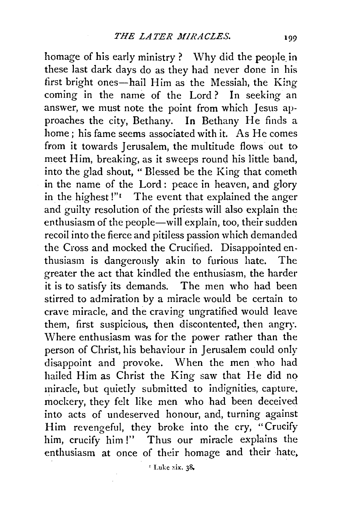homage of his early ministry ? Why did the people in these last dark days do as they had never done in his first bright ones-hail Him as the Messiah, the King coming in the name of the Lord? In seeking an answer, we must note the point from which Jesus approaches the city, Bethany. In Bethany He finds a home; his fame seems associated with it. As He comes from it towards Jerusalem, the multitude flows out to meet Him, breaking, as it sweeps round his little band, into the glad shout, " Blessed be the King that cometh in the name of the Lord : peace in heaven, and glory in the highest !" $\blacksquare$  The event that explained the anger and guilty resolution of the priests will also explain the enthusiasm of the people—will explain, too, their sudden recoil into the fierce and pitiless passion which demanded the Cross and mocked the Crucified. Disappointed enthusiasm is dangerously akin to furious hate. The greater the act that kindled the enthusiasm, the harder it is to satisfy its demands. The men who had been stirred to admiration by a miracle would be certain to crave miracle, and the craving ungratified would leave them, first suspicious, then discontented, then angry. Where enthusiasm was for the power rather than the person of Christ, his behaviour in Jerusalem could only disappoint and provoke. When the men who had hailed Him as Christ the King saw that He did no miracle, but quietly submitted to indignities, capture. mockery, they felt like men who had been deceived into acts of undeserved honour, and, turning against Him revengeful, they broke into the cry, "Crucify him, crucify him!" Thus our miracle explains the enthusiasm at once of their homage and their hate,

 $^1$  Luke xix. 38.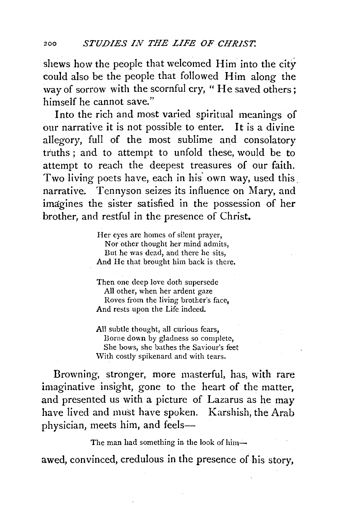shews how the people that welcomed Him into the city could also be the people that followed Him along the way of sorrow with the scornful cry, "He saved others; himself he cannot save."

Into the rich and most varied spiritual meanings of our narrative it is not possible to enter. It is a divine allegory, full of the most sublime and consolatory truths; and to attempt to unfold these, would be to attempt to reach the deepest treasures of our faith. Two living poets have, each in his own way, used this narrative. Tennyson seizes its influence on Mary, and imagines the sister satisfied in the possession of her brother, and restful in the presence of Christ.

> Her eyes are homes of silent prayer, Nor other thought her mind admits, But he was dead, and there he sits, And He that brought him back is there.

Then one deep love doth supersede All other, when her ardent gaze Roves from the living brother's face, And rests upon the Life indeed.

All subtle thought, all curious fears, Borne down by gladness so complete, She bows, she bathes the Saviour's feet With costly spikenard and with tears.

Browning, stronger, more masterful, has, with rare imaginative insight, gone to the heart of the matter, and presented us with a picture of Lazarus as he may have lived and must have spoken. Karshish, the Arab physician, meets him, and feels-

The man had something in the look of him-

awed, convinced, credulous in the presence of his story,